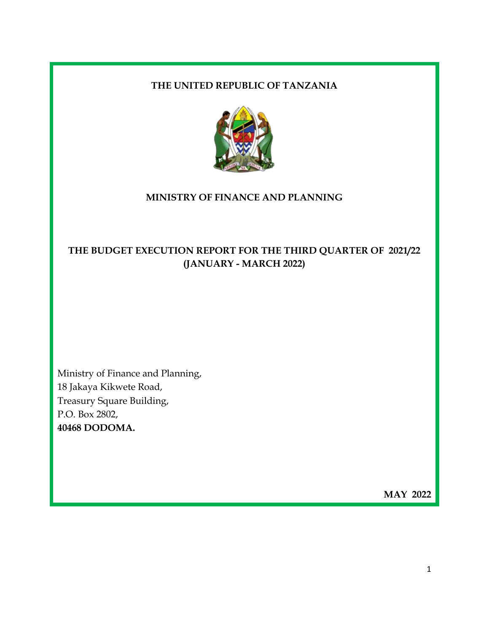### **THE UNITED REPUBLIC OF TANZANIA**



### **MINISTRY OF FINANCE AND PLANNING**

# **THE BUDGET EXECUTION REPORT FOR THE THIRD QUARTER OF 2021/22 (JANUARY - MARCH 2022)**

Ministry of Finance and Planning, 18 Jakaya Kikwete Road, Treasury Square Building, P.O. Box 2802, **40468 DODOMA.**

**MAY 2022**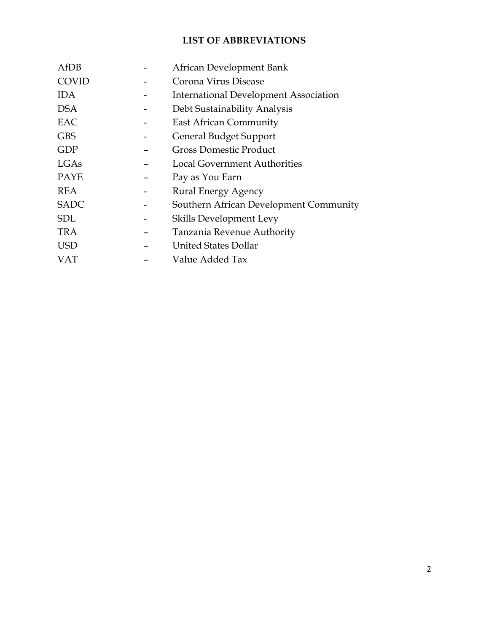## **LIST OF ABBREVIATIONS**

| AfDB         | African Development Bank                     |
|--------------|----------------------------------------------|
| <b>COVID</b> | Corona Virus Disease                         |
| <b>IDA</b>   | <b>International Development Association</b> |
| <b>DSA</b>   | Debt Sustainability Analysis                 |
| EAC          | <b>East African Community</b>                |
| <b>GBS</b>   | <b>General Budget Support</b>                |
| <b>GDP</b>   | <b>Gross Domestic Product</b>                |
| LGAs         | <b>Local Government Authorities</b>          |
| <b>PAYE</b>  | Pay as You Earn                              |
| <b>REA</b>   | <b>Rural Energy Agency</b>                   |
| <b>SADC</b>  | Southern African Development Community       |
| <b>SDL</b>   | Skills Development Levy                      |
| <b>TRA</b>   | Tanzania Revenue Authority                   |
| <b>USD</b>   | United States Dollar                         |
| VAT          | Value Added Tax                              |
|              |                                              |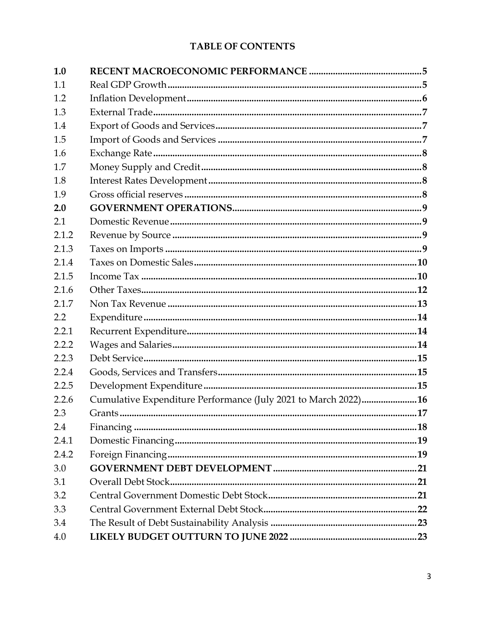# TABLE OF CONTENTS

| 1.0   |                                                                |  |
|-------|----------------------------------------------------------------|--|
| 1.1   |                                                                |  |
| 1.2   |                                                                |  |
| 1.3   |                                                                |  |
| 1.4   |                                                                |  |
| 1.5   |                                                                |  |
| 1.6   |                                                                |  |
| 1.7   |                                                                |  |
| 1.8   |                                                                |  |
| 1.9   |                                                                |  |
| 2.0   |                                                                |  |
| 2.1   |                                                                |  |
| 2.1.2 |                                                                |  |
| 2.1.3 |                                                                |  |
| 2.1.4 |                                                                |  |
| 2.1.5 |                                                                |  |
| 2.1.6 |                                                                |  |
| 2.1.7 |                                                                |  |
| 2.2   |                                                                |  |
| 2.2.1 |                                                                |  |
| 2.2.2 |                                                                |  |
| 2.2.3 |                                                                |  |
| 2.2.4 |                                                                |  |
| 2.2.5 |                                                                |  |
| 2.2.6 | Cumulative Expenditure Performance (July 2021 to March 2022)16 |  |
| 2.3   |                                                                |  |
| 2.4   |                                                                |  |
| 2.4.1 |                                                                |  |
| 2.4.2 |                                                                |  |
| 3.0   |                                                                |  |
| 3.1   |                                                                |  |
| 3.2   |                                                                |  |
| 3.3   |                                                                |  |
| 3.4   |                                                                |  |
| 4.0   |                                                                |  |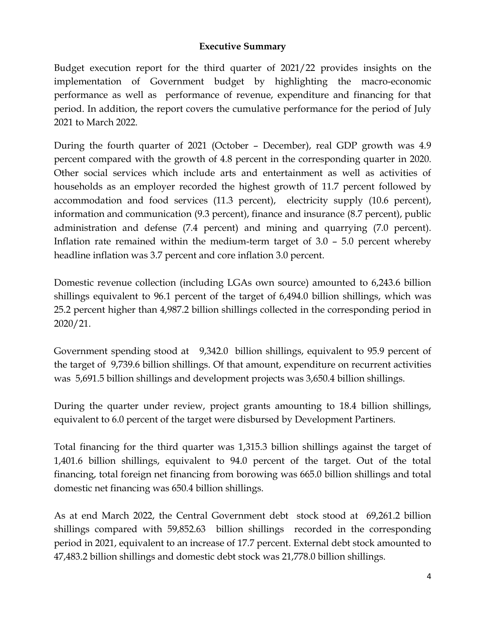### **Executive Summary**

Budget execution report for the third quarter of 2021/22 provides insights on the implementation of Government budget by highlighting the macro-economic performance as well as performance of revenue, expenditure and financing for that period. In addition, the report covers the cumulative performance for the period of July 2021 to March 2022.

During the fourth quarter of 2021 (October – December), real GDP growth was 4.9 percent compared with the growth of 4.8 percent in the corresponding quarter in 2020. Other social services which include arts and entertainment as well as activities of households as an employer recorded the highest growth of 11.7 percent followed by accommodation and food services (11.3 percent), electricity supply (10.6 percent), information and communication (9.3 percent), finance and insurance (8.7 percent), public administration and defense (7.4 percent) and mining and quarrying (7.0 percent). Inflation rate remained within the medium-term target of 3.0 – 5.0 percent whereby headline inflation was 3.7 percent and core inflation 3.0 percent.

Domestic revenue collection (including LGAs own source) amounted to 6,243.6 billion shillings equivalent to 96.1 percent of the target of 6,494.0 billion shillings, which was 25.2 percent higher than 4,987.2 billion shillings collected in the corresponding period in 2020/21.

Government spending stood at 9,342.0 billion shillings, equivalent to 95.9 percent of the target of 9,739.6 billion shillings. Of that amount, expenditure on recurrent activities was 5,691.5 billion shillings and development projects was 3,650.4 billion shillings.

During the quarter under review, project grants amounting to 18.4 billion shillings, equivalent to 6.0 percent of the target were disbursed by Development Partiners.

Total financing for the third quarter was 1,315.3 billion shillings against the target of 1,401.6 billion shillings, equivalent to 94.0 percent of the target. Out of the total financing, total foreign net financing from borowing was 665.0 billion shillings and total domestic net financing was 650.4 billion shillings.

As at end March 2022, the Central Government debt stock stood at 69,261.2 billion shillings compared with 59,852.63 billion shillings recorded in the corresponding period in 2021, equivalent to an increase of 17.7 percent. External debt stock amounted to 47,483.2 billion shillings and domestic debt stock was 21,778.0 billion shillings.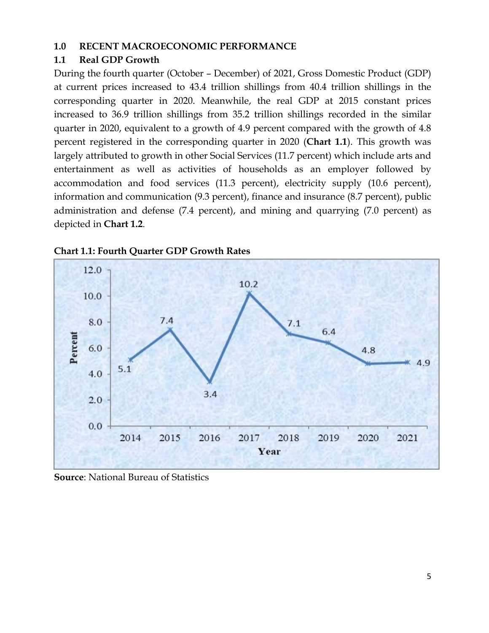#### <span id="page-4-0"></span>**1.0 RECENT MACROECONOMIC PERFORMANCE**

#### <span id="page-4-1"></span>**1.1 Real GDP Growth**

During the fourth quarter (October – December) of 2021, Gross Domestic Product (GDP) at current prices increased to 43.4 trillion shillings from 40.4 trillion shillings in the corresponding quarter in 2020. Meanwhile, the real GDP at 2015 constant prices increased to 36.9 trillion shillings from 35.2 trillion shillings recorded in the similar quarter in 2020, equivalent to a growth of 4.9 percent compared with the growth of 4.8 percent registered in the corresponding quarter in 2020 (**Chart 1.1**). This growth was largely attributed to growth in other Social Services (11.7 percent) which include arts and entertainment as well as activities of households as an employer followed by accommodation and food services (11.3 percent), electricity supply (10.6 percent), information and communication (9.3 percent), finance and insurance (8.7 percent), public administration and defense (7.4 percent), and mining and quarrying (7.0 percent) as depicted in **Chart 1.2**.





**Source**: National Bureau of Statistics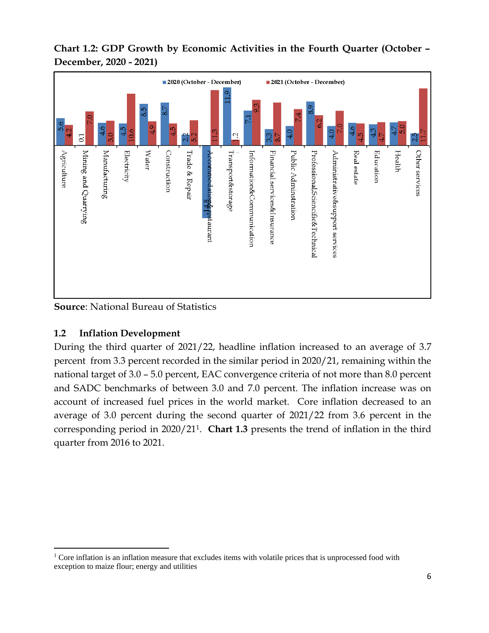



**Source**: National Bureau of Statistics

## <span id="page-5-0"></span>**1.2 Inflation Development**

During the third quarter of 2021/22, headline inflation increased to an average of 3.7 percent from 3.3 percent recorded in the similar period in 2020/21, remaining within the national target of 3.0 – 5.0 percent, EAC convergence criteria of not more than 8.0 percent and SADC benchmarks of between 3.0 and 7.0 percent. The inflation increase was on account of increased fuel prices in the world market. Core inflation decreased to an average of 3.0 percent during the second quarter of 2021/22 from 3.6 percent in the corresponding period in 2020/211. **Chart 1.3** presents the trend of inflation in the third quarter from 2016 to 2021.

<sup>&</sup>lt;sup>1</sup> Core inflation is an inflation measure that excludes items with volatile prices that is unprocessed food with exception to maize flour; energy and utilities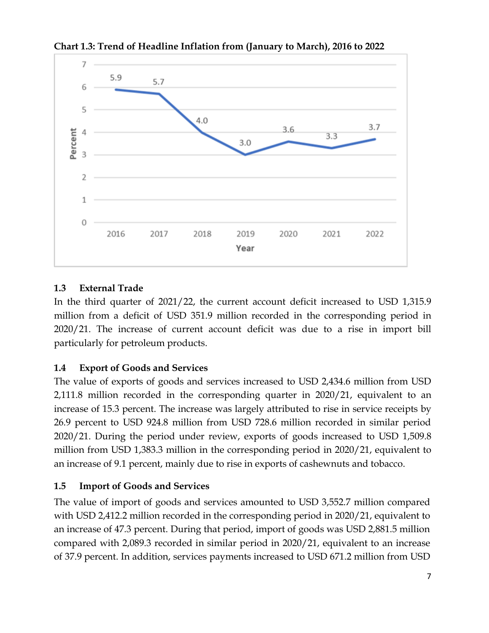

**Chart 1.3: Trend of Headline Inflation from (January to March), 2016 to 2022**

## <span id="page-6-0"></span>**1.3 External Trade**

In the third quarter of 2021/22, the current account deficit increased to USD 1,315.9 million from a deficit of USD 351.9 million recorded in the corresponding period in 2020/21. The increase of current account deficit was due to a rise in import bill particularly for petroleum products.

## <span id="page-6-1"></span>**1.4 Export of Goods and Services**

The value of exports of goods and services increased to USD 2,434.6 million from USD 2,111.8 million recorded in the corresponding quarter in 2020/21, equivalent to an increase of 15.3 percent. The increase was largely attributed to rise in service receipts by 26.9 percent to USD 924.8 million from USD 728.6 million recorded in similar period 2020/21. During the period under review, exports of goods increased to USD 1,509.8 million from USD 1,383.3 million in the corresponding period in 2020/21, equivalent to an increase of 9.1 percent, mainly due to rise in exports of cashewnuts and tobacco.

## <span id="page-6-2"></span>**1.5 Import of Goods and Services**

The value of import of goods and services amounted to USD 3,552.7 million compared with USD 2,412.2 million recorded in the corresponding period in 2020/21, equivalent to an increase of 47.3 percent. During that period, import of goods was USD 2,881.5 million compared with 2,089.3 recorded in similar period in 2020/21, equivalent to an increase of 37.9 percent. In addition, services payments increased to USD 671.2 million from USD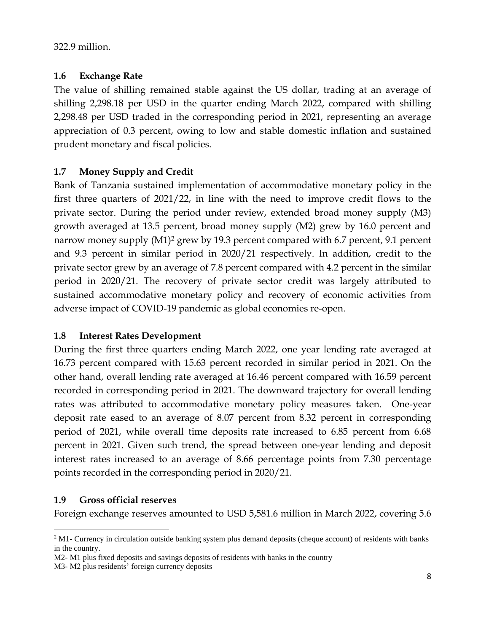322.9 million.

### <span id="page-7-0"></span>**1.6 Exchange Rate**

The value of shilling remained stable against the US dollar, trading at an average of shilling 2,298.18 per USD in the quarter ending March 2022, compared with shilling 2,298.48 per USD traded in the corresponding period in 2021, representing an average appreciation of 0.3 percent, owing to low and stable domestic inflation and sustained prudent monetary and fiscal policies.

## <span id="page-7-1"></span>**1.7 Money Supply and Credit**

Bank of Tanzania sustained implementation of accommodative monetary policy in the first three quarters of 2021/22, in line with the need to improve credit flows to the private sector. During the period under review, extended broad money supply (M3) growth averaged at 13.5 percent, broad money supply (M2) grew by 16.0 percent and narrow money supply (M1) <sup>2</sup> grew by 19.3 percent compared with 6.7 percent, 9.1 percent and 9.3 percent in similar period in 2020/21 respectively. In addition, credit to the private sector grew by an average of 7.8 percent compared with 4.2 percent in the similar period in 2020/21. The recovery of private sector credit was largely attributed to sustained accommodative monetary policy and recovery of economic activities from adverse impact of COVID-19 pandemic as global economies re-open.

### <span id="page-7-2"></span>**1.8 Interest Rates Development**

During the first three quarters ending March 2022, one year lending rate averaged at 16.73 percent compared with 15.63 percent recorded in similar period in 2021. On the other hand, overall lending rate averaged at 16.46 percent compared with 16.59 percent recorded in corresponding period in 2021. The downward trajectory for overall lending rates was attributed to accommodative monetary policy measures taken. One-year deposit rate eased to an average of 8.07 percent from 8.32 percent in corresponding period of 2021, while overall time deposits rate increased to 6.85 percent from 6.68 percent in 2021. Given such trend, the spread between one-year lending and deposit interest rates increased to an average of 8.66 percentage points from 7.30 percentage points recorded in the corresponding period in 2020/21.

## <span id="page-7-3"></span>**1.9 Gross official reserves**

Foreign exchange reserves amounted to USD 5,581.6 million in March 2022, covering 5.6

 $2$  M1- Currency in circulation outside banking system plus demand deposits (cheque account) of residents with banks in the country.

M2- M1 plus fixed deposits and savings deposits of residents with banks in the country

M3- M2 plus residents' foreign currency deposits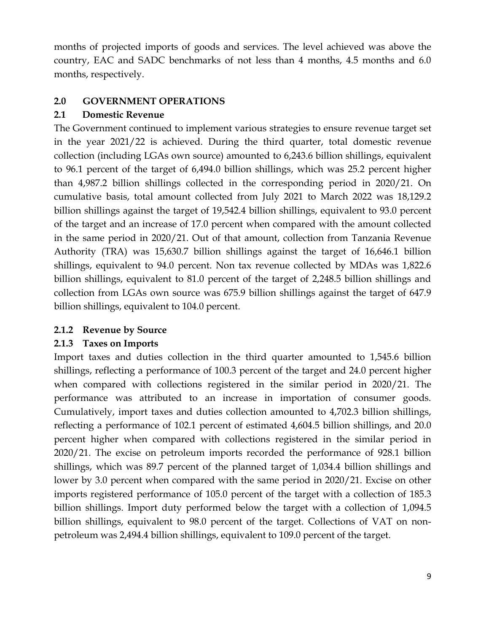months of projected imports of goods and services. The level achieved was above the country, EAC and SADC benchmarks of not less than 4 months, 4.5 months and 6.0 months, respectively.

## <span id="page-8-0"></span>**2.0 GOVERNMENT OPERATIONS**

### <span id="page-8-1"></span>**2.1 Domestic Revenue**

The Government continued to implement various strategies to ensure revenue target set in the year 2021/22 is achieved. During the third quarter, total domestic revenue collection (including LGAs own source) amounted to 6,243.6 billion shillings, equivalent to 96.1 percent of the target of 6,494.0 billion shillings, which was 25.2 percent higher than 4,987.2 billion shillings collected in the corresponding period in 2020/21. On cumulative basis, total amount collected from July 2021 to March 2022 was 18,129.2 billion shillings against the target of 19,542.4 billion shillings, equivalent to 93.0 percent of the target and an increase of 17.0 percent when compared with the amount collected in the same period in 2020/21. Out of that amount, collection from Tanzania Revenue Authority (TRA) was 15,630.7 billion shillings against the target of 16,646.1 billion shillings, equivalent to 94.0 percent. Non tax revenue collected by MDAs was 1,822.6 billion shillings, equivalent to 81.0 percent of the target of 2,248.5 billion shillings and collection from LGAs own source was 675.9 billion shillings against the target of 647.9 billion shillings, equivalent to 104.0 percent.

## <span id="page-8-2"></span>**2.1.2 Revenue by Source**

## <span id="page-8-3"></span>**2.1.3 Taxes on Imports**

Import taxes and duties collection in the third quarter amounted to 1,545.6 billion shillings, reflecting a performance of 100.3 percent of the target and 24.0 percent higher when compared with collections registered in the similar period in 2020/21. The performance was attributed to an increase in importation of consumer goods. Cumulatively, import taxes and duties collection amounted to 4,702.3 billion shillings, reflecting a performance of 102.1 percent of estimated 4,604.5 billion shillings, and 20.0 percent higher when compared with collections registered in the similar period in 2020/21. The excise on petroleum imports recorded the performance of 928.1 billion shillings, which was 89.7 percent of the planned target of 1,034.4 billion shillings and lower by 3.0 percent when compared with the same period in 2020/21. Excise on other imports registered performance of 105.0 percent of the target with a collection of 185.3 billion shillings. Import duty performed below the target with a collection of 1,094.5 billion shillings, equivalent to 98.0 percent of the target. Collections of VAT on nonpetroleum was 2,494.4 billion shillings, equivalent to 109.0 percent of the target.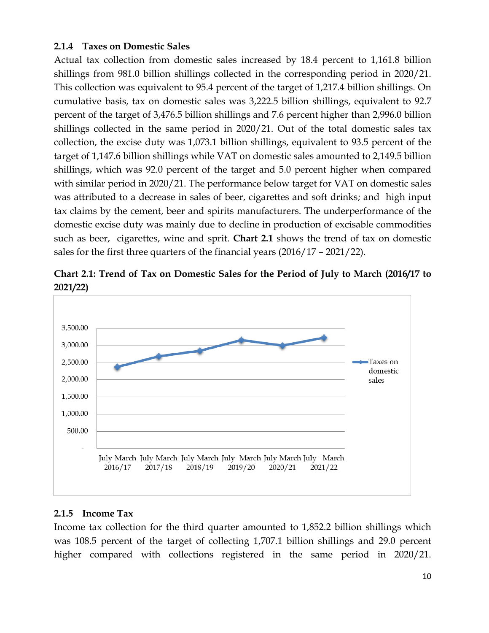#### <span id="page-9-0"></span>**2.1.4 Taxes on Domestic Sales**

Actual tax collection from domestic sales increased by 18.4 percent to 1,161.8 billion shillings from 981.0 billion shillings collected in the corresponding period in 2020/21. This collection was equivalent to 95.4 percent of the target of 1,217.4 billion shillings. On cumulative basis, tax on domestic sales was 3,222.5 billion shillings, equivalent to 92.7 percent of the target of 3,476.5 billion shillings and 7.6 percent higher than 2,996.0 billion shillings collected in the same period in 2020/21. Out of the total domestic sales tax collection, the excise duty was 1,073.1 billion shillings, equivalent to 93.5 percent of the target of 1,147.6 billion shillings while VAT on domestic sales amounted to 2,149.5 billion shillings, which was 92.0 percent of the target and 5.0 percent higher when compared with similar period in 2020/21. The performance below target for VAT on domestic sales was attributed to a decrease in sales of beer, cigarettes and soft drinks; and high input tax claims by the cement, beer and spirits manufacturers. The underperformance of the domestic excise duty was mainly due to decline in production of excisable commodities such as beer, cigarettes, wine and sprit. **Chart 2.1** shows the trend of tax on domestic sales for the first three quarters of the financial years (2016/17 – 2021/22).



**Chart 2.1: Trend of Tax on Domestic Sales for the Period of July to March (2016/17 to 2021/22)**

### <span id="page-9-1"></span>**2.1.5 Income Tax**

Income tax collection for the third quarter amounted to 1,852.2 billion shillings which was 108.5 percent of the target of collecting 1,707.1 billion shillings and 29.0 percent higher compared with collections registered in the same period in 2020/21.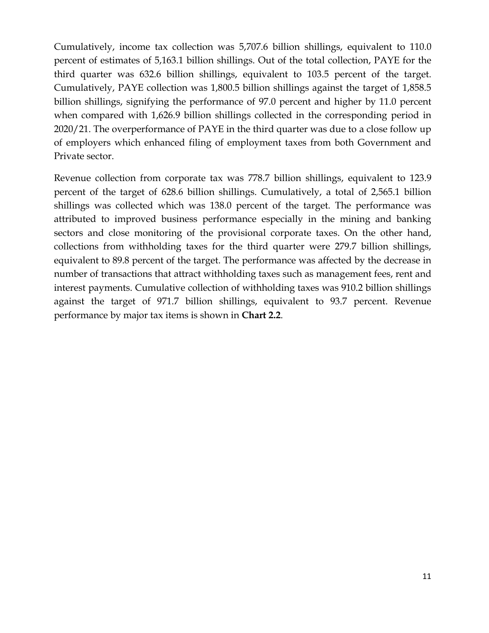Cumulatively, income tax collection was 5,707.6 billion shillings, equivalent to 110.0 percent of estimates of 5,163.1 billion shillings. Out of the total collection, PAYE for the third quarter was 632.6 billion shillings, equivalent to 103.5 percent of the target. Cumulatively, PAYE collection was 1,800.5 billion shillings against the target of 1,858.5 billion shillings, signifying the performance of 97.0 percent and higher by 11.0 percent when compared with 1,626.9 billion shillings collected in the corresponding period in 2020/21. The overperformance of PAYE in the third quarter was due to a close follow up of employers which enhanced filing of employment taxes from both Government and Private sector.

Revenue collection from corporate tax was 778.7 billion shillings, equivalent to 123.9 percent of the target of 628.6 billion shillings. Cumulatively, a total of 2,565.1 billion shillings was collected which was 138.0 percent of the target. The performance was attributed to improved business performance especially in the mining and banking sectors and close monitoring of the provisional corporate taxes. On the other hand, collections from withholding taxes for the third quarter were 279.7 billion shillings, equivalent to 89.8 percent of the target. The performance was affected by the decrease in number of transactions that attract withholding taxes such as management fees, rent and interest payments. Cumulative collection of withholding taxes was 910.2 billion shillings against the target of 971.7 billion shillings, equivalent to 93.7 percent. Revenue performance by major tax items is shown in **Chart 2.2**.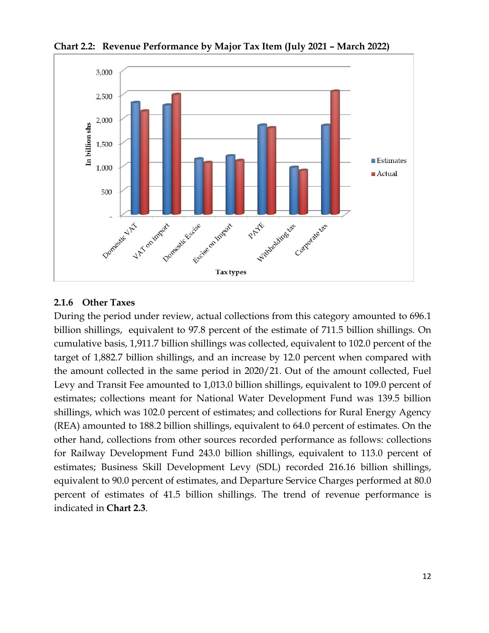

**Chart 2.2: Revenue Performance by Major Tax Item (July 2021 – March 2022)**

### <span id="page-11-0"></span>**2.1.6 Other Taxes**

During the period under review, actual collections from this category amounted to 696.1 billion shillings, equivalent to 97.8 percent of the estimate of 711.5 billion shillings. On cumulative basis, 1,911.7 billion shillings was collected, equivalent to 102.0 percent of the target of 1,882.7 billion shillings, and an increase by 12.0 percent when compared with the amount collected in the same period in 2020/21. Out of the amount collected, Fuel Levy and Transit Fee amounted to 1,013.0 billion shillings, equivalent to 109.0 percent of estimates; collections meant for National Water Development Fund was 139.5 billion shillings, which was 102.0 percent of estimates; and collections for Rural Energy Agency (REA) amounted to 188.2 billion shillings, equivalent to 64.0 percent of estimates. On the other hand, collections from other sources recorded performance as follows: collections for Railway Development Fund 243.0 billion shillings, equivalent to 113.0 percent of estimates; Business Skill Development Levy (SDL) recorded 216.16 billion shillings, equivalent to 90.0 percent of estimates, and Departure Service Charges performed at 80.0 percent of estimates of 41.5 billion shillings. The trend of revenue performance is indicated in **Chart 2.3**.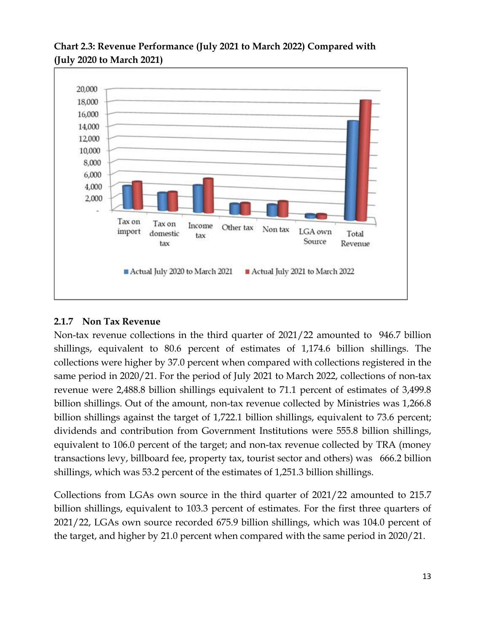

## **Chart 2.3: Revenue Performance (July 2021 to March 2022) Compared with (July 2020 to March 2021)**

## <span id="page-12-0"></span>**2.1.7 Non Tax Revenue**

Non-tax revenue collections in the third quarter of 2021/22 amounted to 946.7 billion shillings, equivalent to 80.6 percent of estimates of 1,174.6 billion shillings. The collections were higher by 37.0 percent when compared with collections registered in the same period in 2020/21. For the period of July 2021 to March 2022, collections of non-tax revenue were 2,488.8 billion shillings equivalent to 71.1 percent of estimates of 3,499.8 billion shillings. Out of the amount, non-tax revenue collected by Ministries was 1,266.8 billion shillings against the target of 1,722.1 billion shillings, equivalent to 73.6 percent; dividends and contribution from Government Institutions were 555.8 billion shillings, equivalent to 106.0 percent of the target; and non-tax revenue collected by TRA (money transactions levy, billboard fee, property tax, tourist sector and others) was 666.2 billion shillings, which was 53.2 percent of the estimates of 1,251.3 billion shillings.

Collections from LGAs own source in the third quarter of 2021/22 amounted to 215.7 billion shillings, equivalent to 103.3 percent of estimates. For the first three quarters of 2021/22, LGAs own source recorded 675.9 billion shillings, which was 104.0 percent of the target, and higher by 21.0 percent when compared with the same period in 2020/21.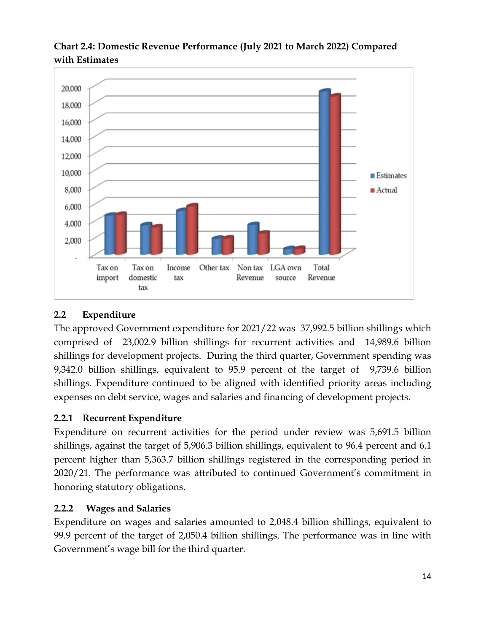

## **Chart 2.4: Domestic Revenue Performance (July 2021 to March 2022) Compared with Estimates**

# <span id="page-13-0"></span>**2.2 Expenditure**

The approved Government expenditure for 2021/22 was 37,992.5 billion shillings which comprised of 23,002.9 billion shillings for recurrent activities and 14,989.6 billion shillings for development projects. During the third quarter, Government spending was 9,342.0 billion shillings, equivalent to 95.9 percent of the target of 9,739.6 billion shillings. Expenditure continued to be aligned with identified priority areas including expenses on debt service, wages and salaries and financing of development projects.

## <span id="page-13-1"></span>**2.2.1 Recurrent Expenditure**

Expenditure on recurrent activities for the period under review was 5,691.5 billion shillings, against the target of 5,906.3 billion shillings, equivalent to 96.4 percent and 6.1 percent higher than 5,363.7 billion shillings registered in the corresponding period in 2020/21. The performance was attributed to continued Government's commitment in honoring statutory obligations.

## <span id="page-13-2"></span>**2.2.2 Wages and Salaries**

Expenditure on wages and salaries amounted to 2,048.4 billion shillings, equivalent to 99.9 percent of the target of 2,050.4 billion shillings. The performance was in line with Government's wage bill for the third quarter.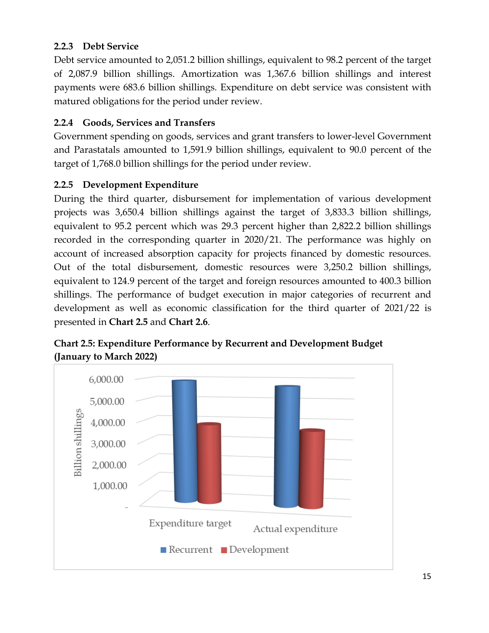## <span id="page-14-0"></span>**2.2.3 Debt Service**

Debt service amounted to 2,051.2 billion shillings, equivalent to 98.2 percent of the target of 2,087.9 billion shillings. Amortization was 1,367.6 billion shillings and interest payments were 683.6 billion shillings. Expenditure on debt service was consistent with matured obligations for the period under review.

## <span id="page-14-1"></span>**2.2.4 Goods, Services and Transfers**

Government spending on goods, services and grant transfers to lower-level Government and Parastatals amounted to 1,591.9 billion shillings, equivalent to 90.0 percent of the target of 1,768.0 billion shillings for the period under review.

### <span id="page-14-2"></span>**2.2.5 Development Expenditure**

During the third quarter, disbursement for implementation of various development projects was 3,650.4 billion shillings against the target of 3,833.3 billion shillings, equivalent to 95.2 percent which was 29.3 percent higher than 2,822.2 billion shillings recorded in the corresponding quarter in 2020/21. The performance was highly on account of increased absorption capacity for projects financed by domestic resources. Out of the total disbursement, domestic resources were 3,250.2 billion shillings, equivalent to 124.9 percent of the target and foreign resources amounted to 400.3 billion shillings. The performance of budget execution in major categories of recurrent and development as well as economic classification for the third quarter of 2021/22 is presented in **Chart 2.5** and **Chart 2.6**.



**Chart 2.5: Expenditure Performance by Recurrent and Development Budget (January to March 2022)**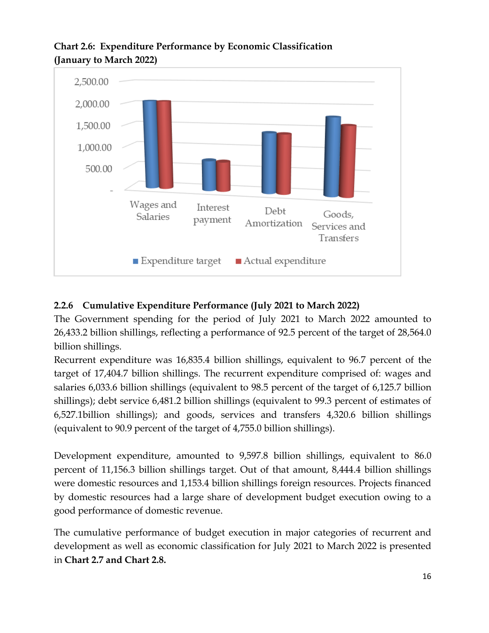

## **Chart 2.6: Expenditure Performance by Economic Classification (January to March 2022)**

## <span id="page-15-0"></span>**2.2.6 Cumulative Expenditure Performance (July 2021 to March 2022)**

The Government spending for the period of July 2021 to March 2022 amounted to 26,433.2 billion shillings, reflecting a performance of 92.5 percent of the target of 28,564.0 billion shillings.

Recurrent expenditure was 16,835.4 billion shillings, equivalent to 96.7 percent of the target of 17,404.7 billion shillings. The recurrent expenditure comprised of: wages and salaries 6,033.6 billion shillings (equivalent to 98.5 percent of the target of 6,125.7 billion shillings); debt service 6,481.2 billion shillings (equivalent to 99.3 percent of estimates of 6,527.1billion shillings); and goods, services and transfers 4,320.6 billion shillings (equivalent to 90.9 percent of the target of 4,755.0 billion shillings).

Development expenditure, amounted to 9,597.8 billion shillings, equivalent to 86.0 percent of 11,156.3 billion shillings target. Out of that amount, 8,444.4 billion shillings were domestic resources and 1,153.4 billion shillings foreign resources. Projects financed by domestic resources had a large share of development budget execution owing to a good performance of domestic revenue.

The cumulative performance of budget execution in major categories of recurrent and development as well as economic classification for July 2021 to March 2022 is presented in **Chart 2.7 and Chart 2.8.**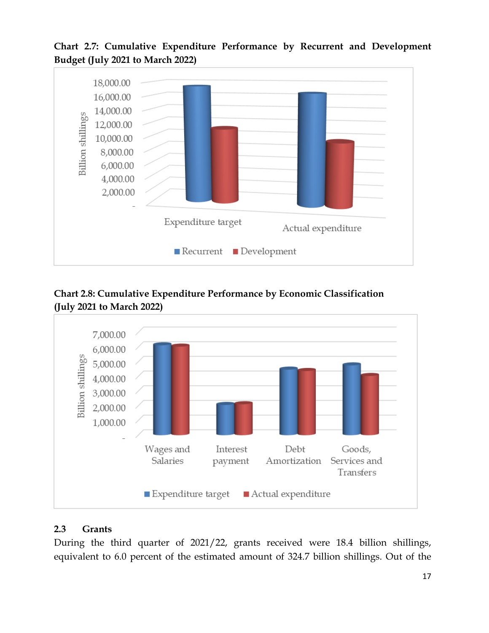**Chart 2.7: Cumulative Expenditure Performance by Recurrent and Development Budget (July 2021 to March 2022)**



**Chart 2.8: Cumulative Expenditure Performance by Economic Classification (July 2021 to March 2022)**



## <span id="page-16-0"></span>**2.3 Grants**

During the third quarter of 2021/22, grants received were 18.4 billion shillings, equivalent to 6.0 percent of the estimated amount of 324.7 billion shillings. Out of the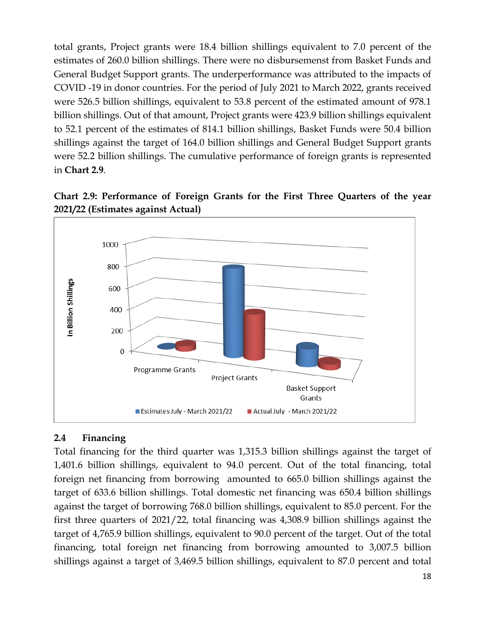total grants, Project grants were 18.4 billion shillings equivalent to 7.0 percent of the estimates of 260.0 billion shillings. There were no disbursemenst from Basket Funds and General Budget Support grants. The underperformance was attributed to the impacts of COVID -19 in donor countries. For the period of July 2021 to March 2022, grants received were 526.5 billion shillings, equivalent to 53.8 percent of the estimated amount of 978.1 billion shillings. Out of that amount, Project grants were 423.9 billion shillings equivalent to 52.1 percent of the estimates of 814.1 billion shillings, Basket Funds were 50.4 billion shillings against the target of 164.0 billion shillings and General Budget Support grants were 52.2 billion shillings. The cumulative performance of foreign grants is represented in **Chart 2.9**.





### <span id="page-17-0"></span>**2.4 Financing**

Total financing for the third quarter was 1,315.3 billion shillings against the target of 1,401.6 billion shillings, equivalent to 94.0 percent. Out of the total financing, total foreign net financing from borrowing amounted to 665.0 billion shillings against the target of 633.6 billion shillings. Total domestic net financing was 650.4 billion shillings against the target of borrowing 768.0 billion shillings, equivalent to 85.0 percent. For the first three quarters of 2021/22, total financing was 4,308.9 billion shillings against the target of 4,765.9 billion shillings, equivalent to 90.0 percent of the target. Out of the total financing, total foreign net financing from borrowing amounted to 3,007.5 billion shillings against a target of 3,469.5 billion shillings, equivalent to 87.0 percent and total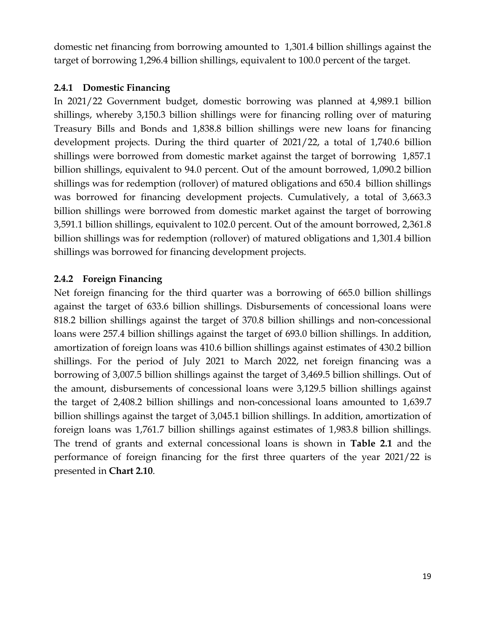domestic net financing from borrowing amounted to 1,301.4 billion shillings against the target of borrowing 1,296.4 billion shillings, equivalent to 100.0 percent of the target.

### <span id="page-18-0"></span>**2.4.1 Domestic Financing**

In 2021/22 Government budget, domestic borrowing was planned at 4,989.1 billion shillings, whereby 3,150.3 billion shillings were for financing rolling over of maturing Treasury Bills and Bonds and 1,838.8 billion shillings were new loans for financing development projects. During the third quarter of 2021/22, a total of 1,740.6 billion shillings were borrowed from domestic market against the target of borrowing 1,857.1 billion shillings, equivalent to 94.0 percent. Out of the amount borrowed, 1,090.2 billion shillings was for redemption (rollover) of matured obligations and 650.4 billion shillings was borrowed for financing development projects. Cumulatively, a total of 3,663.3 billion shillings were borrowed from domestic market against the target of borrowing 3,591.1 billion shillings, equivalent to 102.0 percent. Out of the amount borrowed, 2,361.8 billion shillings was for redemption (rollover) of matured obligations and 1,301.4 billion shillings was borrowed for financing development projects.

## <span id="page-18-1"></span>**2.4.2 Foreign Financing**

Net foreign financing for the third quarter was a borrowing of 665.0 billion shillings against the target of 633.6 billion shillings. Disbursements of concessional loans were 818.2 billion shillings against the target of 370.8 billion shillings and non-concessional loans were 257.4 billion shillings against the target of 693.0 billion shillings. In addition, amortization of foreign loans was 410.6 billion shillings against estimates of 430.2 billion shillings. For the period of July 2021 to March 2022, net foreign financing was a borrowing of 3,007.5 billion shillings against the target of 3,469.5 billion shillings. Out of the amount, disbursements of concessional loans were 3,129.5 billion shillings against the target of 2,408.2 billion shillings and non-concessional loans amounted to 1,639.7 billion shillings against the target of 3,045.1 billion shillings. In addition, amortization of foreign loans was 1,761.7 billion shillings against estimates of 1,983.8 billion shillings. The trend of grants and external concessional loans is shown in **Table 2.1** and the performance of foreign financing for the first three quarters of the year 2021/22 is presented in **Chart 2.10**.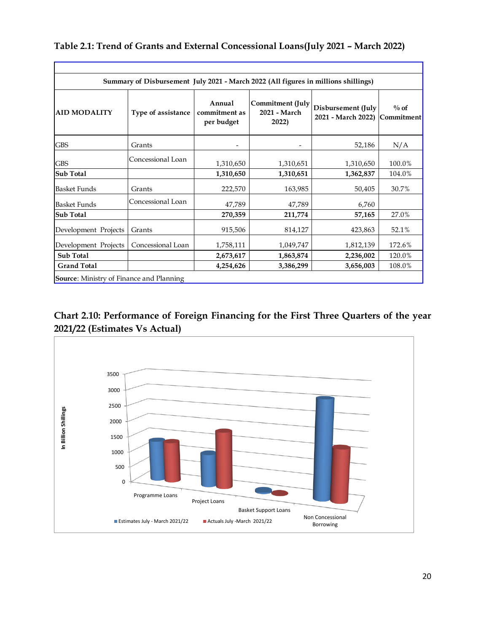## **Table 2.1: Trend of Grants and External Concessional Loans(July 2021 – March 2022)**

| Summary of Disbursement July 2021 - March 2022 (All figures in millions shillings) |                    |                                       |                                                  |                                          |                       |  |  |  |  |  |
|------------------------------------------------------------------------------------|--------------------|---------------------------------------|--------------------------------------------------|------------------------------------------|-----------------------|--|--|--|--|--|
| <b>AID MODALITY</b>                                                                | Type of assistance | Annual<br>commitment as<br>per budget | <b>Commitment (July</b><br>2021 - March<br>2022) | Disbursement (July<br>2021 - March 2022) | $\%$ of<br>Commitment |  |  |  |  |  |
| <b>GBS</b>                                                                         | Grants             |                                       |                                                  | 52,186                                   | N/A                   |  |  |  |  |  |
| <b>GBS</b>                                                                         | Concessional Loan  | 1,310,650                             | 1,310,651                                        | 1,310,650                                | 100.0%                |  |  |  |  |  |
| <b>Sub Total</b>                                                                   |                    | 1,310,650                             | 1,310,651                                        | 1,362,837                                | 104.0%                |  |  |  |  |  |
| <b>Basket Funds</b>                                                                | Grants             | 222,570                               | 163,985                                          | 50,405                                   | 30.7%                 |  |  |  |  |  |
| <b>Basket Funds</b>                                                                | Concessional Loan  | 47,789                                | 47,789                                           | 6,760                                    |                       |  |  |  |  |  |
| <b>Sub Total</b>                                                                   |                    | 270,359                               | 211,774                                          | 57,165                                   | 27.0%                 |  |  |  |  |  |
| Development Projects                                                               | Grants             | 915,506                               | 814,127                                          | 423,863                                  | 52.1%                 |  |  |  |  |  |
| Development Projects                                                               | Concessional Loan  | 1,758,111                             | 1,049,747                                        | 1,812,139                                | 172.6%                |  |  |  |  |  |
| Sub Total                                                                          |                    | 2,673,617                             | 1,863,874                                        | 2,236,002                                | 120.0%                |  |  |  |  |  |
| <b>Grand Total</b>                                                                 |                    | 4,254,626                             | 3,386,299                                        | 3,656,003                                | 108.0%                |  |  |  |  |  |

**Chart 2.10: Performance of Foreign Financing for the First Three Quarters of the year 2021/22 (Estimates Vs Actual)**

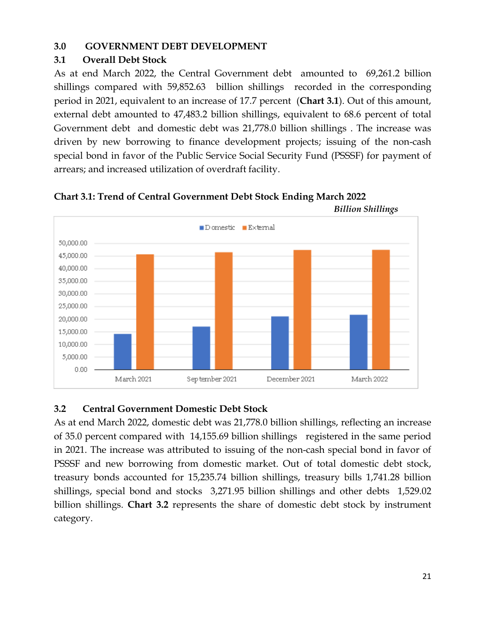#### <span id="page-20-0"></span>**3.0 GOVERNMENT DEBT DEVELOPMENT**

#### <span id="page-20-1"></span>**3.1 Overall Debt Stock**

As at end March 2022, the Central Government debt amounted to 69,261.2 billion shillings compared with 59,852.63 billion shillings recorded in the corresponding period in 2021, equivalent to an increase of 17.7 percent (**Chart 3.1**). Out of this amount, external debt amounted to 47,483.2 billion shillings, equivalent to 68.6 percent of total Government debt and domestic debt was 21,778.0 billion shillings . The increase was driven by new borrowing to finance development projects; issuing of the non-cash special bond in favor of the Public Service Social Security Fund (PSSSF) for payment of arrears; and increased utilization of overdraft facility.





## <span id="page-20-2"></span>**3.2 Central Government Domestic Debt Stock**

As at end March 2022, domestic debt was 21,778.0 billion shillings, reflecting an increase of 35.0 percent compared with 14,155.69 billion shillings registered in the same period in 2021. The increase was attributed to issuing of the non-cash special bond in favor of PSSSF and new borrowing from domestic market. Out of total domestic debt stock, treasury bonds accounted for 15,235.74 billion shillings, treasury bills 1,741.28 billion shillings, special bond and stocks 3,271.95 billion shillings and other debts 1,529.02 billion shillings. **Chart 3.2** represents the share of domestic debt stock by instrument category.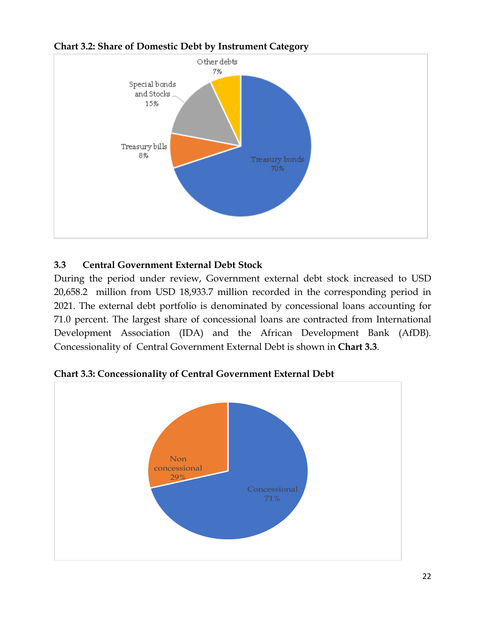

**Chart 3.2: Share of Domestic Debt by Instrument Category**

## <span id="page-21-0"></span>**3.3 Central Government External Debt Stock**

During the period under review, Government external debt stock increased to USD 20,658.2 million from USD 18,933.7 million recorded in the corresponding period in 2021. The external debt portfolio is denominated by concessional loans accounting for 71.0 percent. The largest share of concessional loans are contracted from International Development Association (IDA) and the African Development Bank (AfDB). Concessionality of Central Government External Debt is shown in **Chart 3.3**.



**Chart 3.3: Concessionality of Central Government External Debt**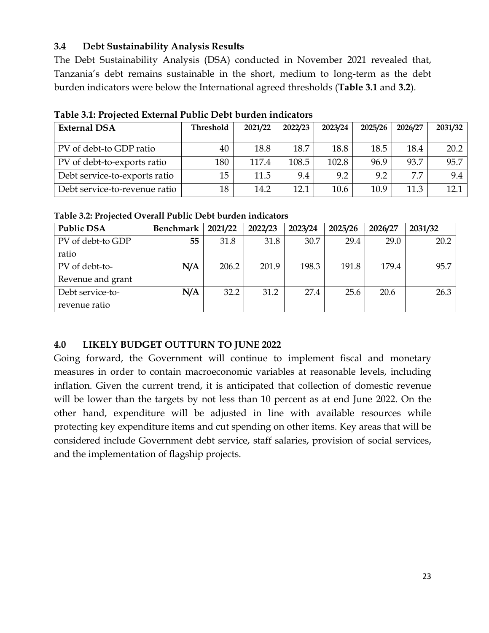### <span id="page-22-0"></span>**3.4 Debt Sustainability Analysis Results**

The Debt Sustainability Analysis (DSA) conducted in November 2021 revealed that, Tanzania's debt remains sustainable in the short, medium to long-term as the debt burden indicators were below the International agreed thresholds (**Table 3.1** and **3.2**).

| <b>External DSA</b>           | Threshold | 2021/22 | 2022/23 | 2023/24 | 2025/26 | 2026/27 | 2031/32 |
|-------------------------------|-----------|---------|---------|---------|---------|---------|---------|
| PV of debt-to GDP ratio       | 40        | 18.8    | 18.7    | 18.8    | 18.5    | 18.4    | 20.2    |
| PV of debt-to-exports ratio   | 180       | 117.4   | 108.5   | 102.8   | 96.9    | 93.7    | 95.7    |
| Debt service-to-exports ratio | 15        | 11.5    | 9.4     | 9.2     | 9.2     | 7.7     | 9.4     |
| Debt service-to-revenue ratio | 18        | 14.2    | 12.1    | 10.6    | 10.9    | 11.3    | 12.1    |

**Table 3.1: Projected External Public Debt burden indicators**

| Table 3.2: Projected Overall Public Debt burden indicators |  |  |
|------------------------------------------------------------|--|--|
|                                                            |  |  |

| <b>Public DSA</b> | <b>Benchmark</b> | 2021/22 | 2022/23 | 2023/24 | 2025/26 | 2026/27 | 2031/32 |
|-------------------|------------------|---------|---------|---------|---------|---------|---------|
| PV of debt-to GDP | 55               | 31.8    | 31.8    | 30.7    | 29.4    | 29.0    | 20.2    |
| ratio             |                  |         |         |         |         |         |         |
| PV of debt-to-    | N/A              | 206.2   | 201.9   | 198.3   | 191.8   | 179.4   | 95.7    |
| Revenue and grant |                  |         |         |         |         |         |         |
| Debt service-to-  | N/A              | 32.2    | 31.2    | 27.4    | 25.6    | 20.6    | 26.3    |
| revenue ratio     |                  |         |         |         |         |         |         |

## <span id="page-22-1"></span>**4.0 LIKELY BUDGET OUTTURN TO JUNE 2022**

Going forward, the Government will continue to implement fiscal and monetary measures in order to contain macroeconomic variables at reasonable levels, including inflation. Given the current trend, it is anticipated that collection of domestic revenue will be lower than the targets by not less than 10 percent as at end June 2022. On the other hand, expenditure will be adjusted in line with available resources while protecting key expenditure items and cut spending on other items. Key areas that will be considered include Government debt service, staff salaries, provision of social services, and the implementation of flagship projects.